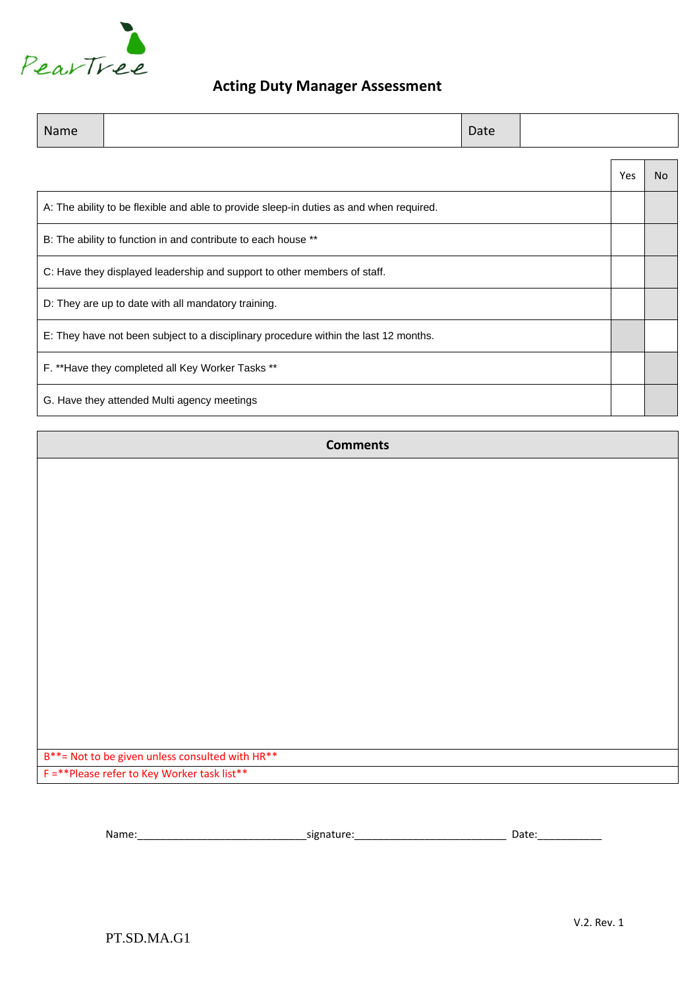

### **Acting Duty Manager Assessment**

| Name                                                                                 |                                                                                         | Date |  |     |    |
|--------------------------------------------------------------------------------------|-----------------------------------------------------------------------------------------|------|--|-----|----|
|                                                                                      |                                                                                         |      |  | Yes | N٥ |
|                                                                                      | A: The ability to be flexible and able to provide sleep-in duties as and when required. |      |  |     |    |
| B: The ability to function in and contribute to each house **                        |                                                                                         |      |  |     |    |
| C: Have they displayed leadership and support to other members of staff.             |                                                                                         |      |  |     |    |
|                                                                                      | D: They are up to date with all mandatory training.                                     |      |  |     |    |
| E: They have not been subject to a disciplinary procedure within the last 12 months. |                                                                                         |      |  |     |    |
|                                                                                      | F. ** Have they completed all Key Worker Tasks **                                       |      |  |     |    |
|                                                                                      | G. Have they attended Multi agency meetings                                             |      |  |     |    |

#### **Comments**

B\*\*= Not to be given unless consulted with HR\*\*

F =\*\*Please refer to Key Worker task list\*\*

Name:\_\_\_\_\_\_\_\_\_\_\_\_\_\_\_\_\_\_\_\_\_\_\_\_\_\_\_\_\_signature:\_\_\_\_\_\_\_\_\_\_\_\_\_\_\_\_\_\_\_\_\_\_\_\_\_\_ Date:\_\_\_\_\_\_\_\_\_\_\_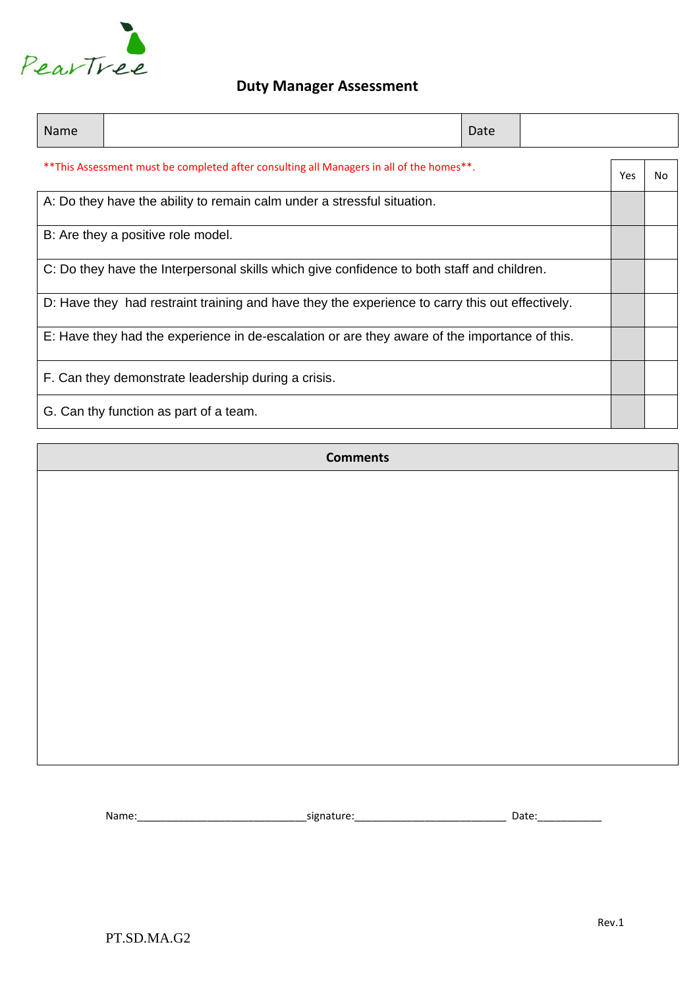

# **Duty Manager Assessment**

| Name                                                                                            |  | Date |  |     |    |
|-------------------------------------------------------------------------------------------------|--|------|--|-----|----|
| **This Assessment must be completed after consulting all Managers in all of the homes**.        |  |      |  | Yes | No |
| A: Do they have the ability to remain calm under a stressful situation.                         |  |      |  |     |    |
| B: Are they a positive role model.                                                              |  |      |  |     |    |
| C: Do they have the Interpersonal skills which give confidence to both staff and children.      |  |      |  |     |    |
| D: Have they had restraint training and have they the experience to carry this out effectively. |  |      |  |     |    |
| E: Have they had the experience in de-escalation or are they aware of the importance of this.   |  |      |  |     |    |
| F. Can they demonstrate leadership during a crisis.                                             |  |      |  |     |    |
| G. Can thy function as part of a team.                                                          |  |      |  |     |    |

**Comments**

Name: et al. et al. et al. et al. et al. et al. et al. et al. et al. et al. et al. et al. et al. et al. et al. e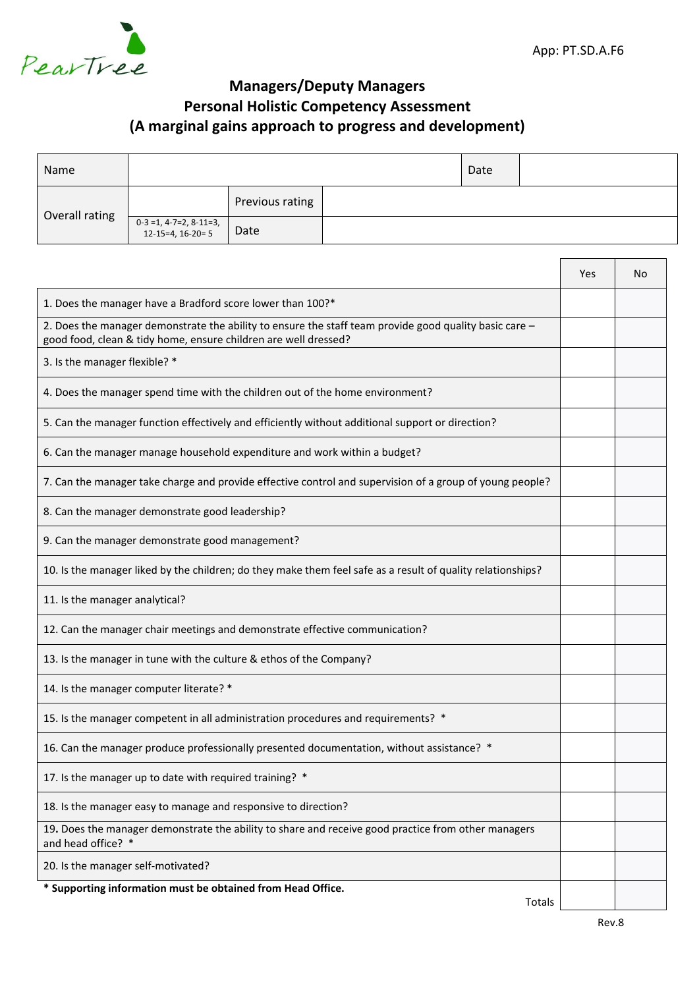## **Managers/Deputy Managers Personal Holistic Competency Assessment (A marginal gains approach to progress and development)**

| Name           |                                                |                 |  | Date |  |
|----------------|------------------------------------------------|-----------------|--|------|--|
| Overall rating |                                                | Previous rating |  |      |  |
|                | $0-3 = 1, 4-7=2, 8-11=3,$<br>12-15=4, 16-20= 5 | Date            |  |      |  |

|                                                                                                                                                                           | Yes | No |
|---------------------------------------------------------------------------------------------------------------------------------------------------------------------------|-----|----|
| 1. Does the manager have a Bradford score lower than 100?*                                                                                                                |     |    |
| 2. Does the manager demonstrate the ability to ensure the staff team provide good quality basic care -<br>good food, clean & tidy home, ensure children are well dressed? |     |    |
| 3. Is the manager flexible? *                                                                                                                                             |     |    |
| 4. Does the manager spend time with the children out of the home environment?                                                                                             |     |    |
| 5. Can the manager function effectively and efficiently without additional support or direction?                                                                          |     |    |
| 6. Can the manager manage household expenditure and work within a budget?                                                                                                 |     |    |
| 7. Can the manager take charge and provide effective control and supervision of a group of young people?                                                                  |     |    |
| 8. Can the manager demonstrate good leadership?                                                                                                                           |     |    |
| 9. Can the manager demonstrate good management?                                                                                                                           |     |    |
| 10. Is the manager liked by the children; do they make them feel safe as a result of quality relationships?                                                               |     |    |
| 11. Is the manager analytical?                                                                                                                                            |     |    |
| 12. Can the manager chair meetings and demonstrate effective communication?                                                                                               |     |    |
| 13. Is the manager in tune with the culture & ethos of the Company?                                                                                                       |     |    |
| 14. Is the manager computer literate? *                                                                                                                                   |     |    |
| 15. Is the manager competent in all administration procedures and requirements? *                                                                                         |     |    |
| 16. Can the manager produce professionally presented documentation, without assistance? *                                                                                 |     |    |
| 17. Is the manager up to date with required training? *                                                                                                                   |     |    |
| 18. Is the manager easy to manage and responsive to direction?                                                                                                            |     |    |
| 19. Does the manager demonstrate the ability to share and receive good practice from other managers<br>and head office? *                                                 |     |    |
| 20. Is the manager self-motivated?                                                                                                                                        |     |    |
| * Supporting information must be obtained from Head Office.<br>Totals                                                                                                     |     |    |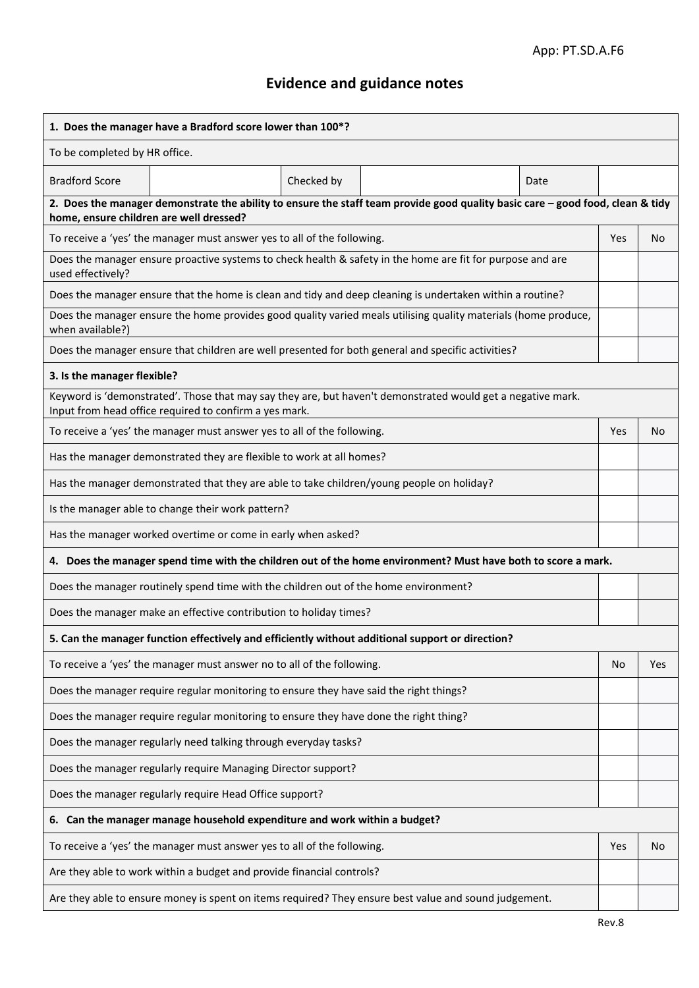# **Evidence and guidance notes**

| 1. Does the manager have a Bradford score lower than 100*?                                                                                                            |                                                                                                                                |                |  |  |  |  |  |
|-----------------------------------------------------------------------------------------------------------------------------------------------------------------------|--------------------------------------------------------------------------------------------------------------------------------|----------------|--|--|--|--|--|
| To be completed by HR office.                                                                                                                                         |                                                                                                                                |                |  |  |  |  |  |
| <b>Bradford Score</b><br>Checked by<br>Date                                                                                                                           |                                                                                                                                |                |  |  |  |  |  |
| home, ensure children are well dressed?                                                                                                                               | 2. Does the manager demonstrate the ability to ensure the staff team provide good quality basic care - good food, clean & tidy |                |  |  |  |  |  |
| To receive a 'yes' the manager must answer yes to all of the following.                                                                                               | Yes                                                                                                                            | N <sub>o</sub> |  |  |  |  |  |
| Does the manager ensure proactive systems to check health & safety in the home are fit for purpose and are<br>used effectively?                                       |                                                                                                                                |                |  |  |  |  |  |
| Does the manager ensure that the home is clean and tidy and deep cleaning is undertaken within a routine?                                                             |                                                                                                                                |                |  |  |  |  |  |
| Does the manager ensure the home provides good quality varied meals utilising quality materials (home produce,<br>when available?)                                    |                                                                                                                                |                |  |  |  |  |  |
| Does the manager ensure that children are well presented for both general and specific activities?                                                                    |                                                                                                                                |                |  |  |  |  |  |
| 3. Is the manager flexible?                                                                                                                                           |                                                                                                                                |                |  |  |  |  |  |
| Keyword is 'demonstrated'. Those that may say they are, but haven't demonstrated would get a negative mark.<br>Input from head office required to confirm a yes mark. |                                                                                                                                |                |  |  |  |  |  |
| To receive a 'yes' the manager must answer yes to all of the following.                                                                                               | <b>Yes</b>                                                                                                                     | No             |  |  |  |  |  |
| Has the manager demonstrated they are flexible to work at all homes?                                                                                                  |                                                                                                                                |                |  |  |  |  |  |
| Has the manager demonstrated that they are able to take children/young people on holiday?                                                                             |                                                                                                                                |                |  |  |  |  |  |
| Is the manager able to change their work pattern?                                                                                                                     |                                                                                                                                |                |  |  |  |  |  |
| Has the manager worked overtime or come in early when asked?                                                                                                          |                                                                                                                                |                |  |  |  |  |  |
| 4. Does the manager spend time with the children out of the home environment? Must have both to score a mark.                                                         |                                                                                                                                |                |  |  |  |  |  |
| Does the manager routinely spend time with the children out of the home environment?                                                                                  |                                                                                                                                |                |  |  |  |  |  |
| Does the manager make an effective contribution to holiday times?                                                                                                     |                                                                                                                                |                |  |  |  |  |  |
| 5. Can the manager function effectively and efficiently without additional support or direction?                                                                      |                                                                                                                                |                |  |  |  |  |  |
| To receive a 'yes' the manager must answer no to all of the following.                                                                                                | No                                                                                                                             | Yes            |  |  |  |  |  |
| Does the manager require regular monitoring to ensure they have said the right things?                                                                                |                                                                                                                                |                |  |  |  |  |  |
| Does the manager require regular monitoring to ensure they have done the right thing?                                                                                 |                                                                                                                                |                |  |  |  |  |  |
| Does the manager regularly need talking through everyday tasks?                                                                                                       |                                                                                                                                |                |  |  |  |  |  |
| Does the manager regularly require Managing Director support?                                                                                                         |                                                                                                                                |                |  |  |  |  |  |
| Does the manager regularly require Head Office support?                                                                                                               |                                                                                                                                |                |  |  |  |  |  |
| 6. Can the manager manage household expenditure and work within a budget?                                                                                             |                                                                                                                                |                |  |  |  |  |  |
| To receive a 'yes' the manager must answer yes to all of the following.                                                                                               | Yes                                                                                                                            | No             |  |  |  |  |  |
| Are they able to work within a budget and provide financial controls?                                                                                                 |                                                                                                                                |                |  |  |  |  |  |
| Are they able to ensure money is spent on items required? They ensure best value and sound judgement.                                                                 |                                                                                                                                |                |  |  |  |  |  |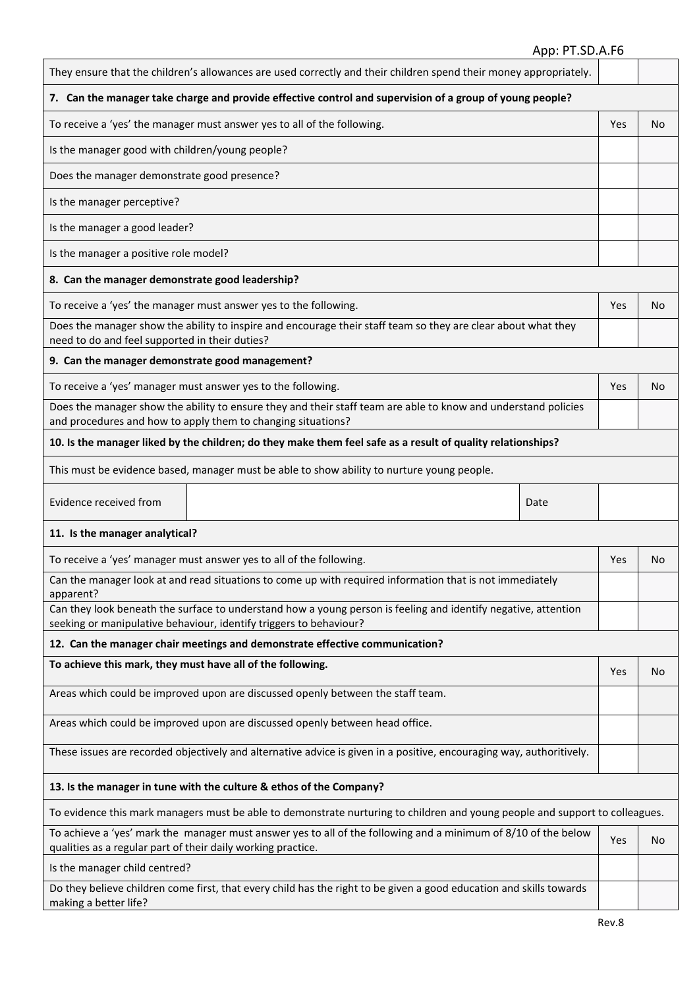### App: PT.SD.A.F6

| They ensure that the children's allowances are used correctly and their children spend their money appropriately.                                                                    |      |     |     |
|--------------------------------------------------------------------------------------------------------------------------------------------------------------------------------------|------|-----|-----|
| 7. Can the manager take charge and provide effective control and supervision of a group of young people?                                                                             |      |     |     |
| To receive a 'yes' the manager must answer yes to all of the following.                                                                                                              |      | Yes | No. |
| Is the manager good with children/young people?                                                                                                                                      |      |     |     |
| Does the manager demonstrate good presence?                                                                                                                                          |      |     |     |
| Is the manager perceptive?                                                                                                                                                           |      |     |     |
| Is the manager a good leader?                                                                                                                                                        |      |     |     |
| Is the manager a positive role model?                                                                                                                                                |      |     |     |
| 8. Can the manager demonstrate good leadership?                                                                                                                                      |      |     |     |
| To receive a 'yes' the manager must answer yes to the following.                                                                                                                     |      | Yes | No  |
| Does the manager show the ability to inspire and encourage their staff team so they are clear about what they<br>need to do and feel supported in their duties?                      |      |     |     |
| 9. Can the manager demonstrate good management?                                                                                                                                      |      |     |     |
| To receive a 'yes' manager must answer yes to the following.                                                                                                                         |      | Yes | No. |
| Does the manager show the ability to ensure they and their staff team are able to know and understand policies<br>and procedures and how to apply them to changing situations?       |      |     |     |
| 10. Is the manager liked by the children; do they make them feel safe as a result of quality relationships?                                                                          |      |     |     |
| This must be evidence based, manager must be able to show ability to nurture young people.                                                                                           |      |     |     |
| Evidence received from                                                                                                                                                               | Date |     |     |
| 11. Is the manager analytical?                                                                                                                                                       |      |     |     |
| To receive a 'yes' manager must answer yes to all of the following.                                                                                                                  |      | Yes | No  |
| Can the manager look at and read situations to come up with required information that is not immediately<br>apparent?                                                                |      |     |     |
| Can they look beneath the surface to understand how a young person is feeling and identify negative, attention<br>seeking or manipulative behaviour, identify triggers to behaviour? |      |     |     |
| 12. Can the manager chair meetings and demonstrate effective communication?                                                                                                          |      |     |     |
| To achieve this mark, they must have all of the following.                                                                                                                           |      | Yes | No  |
| Areas which could be improved upon are discussed openly between the staff team.                                                                                                      |      |     |     |
| Areas which could be improved upon are discussed openly between head office.                                                                                                         |      |     |     |
| These issues are recorded objectively and alternative advice is given in a positive, encouraging way, authoritively.                                                                 |      |     |     |
| 13. Is the manager in tune with the culture & ethos of the Company?                                                                                                                  |      |     |     |
| To evidence this mark managers must be able to demonstrate nurturing to children and young people and support to colleagues.                                                         |      |     |     |
| To achieve a 'yes' mark the manager must answer yes to all of the following and a minimum of 8/10 of the below<br>qualities as a regular part of their daily working practice.       |      | Yes | No  |
| Is the manager child centred?                                                                                                                                                        |      |     |     |
| Do they believe children come first, that every child has the right to be given a good education and skills towards<br>making a better life?                                         |      |     |     |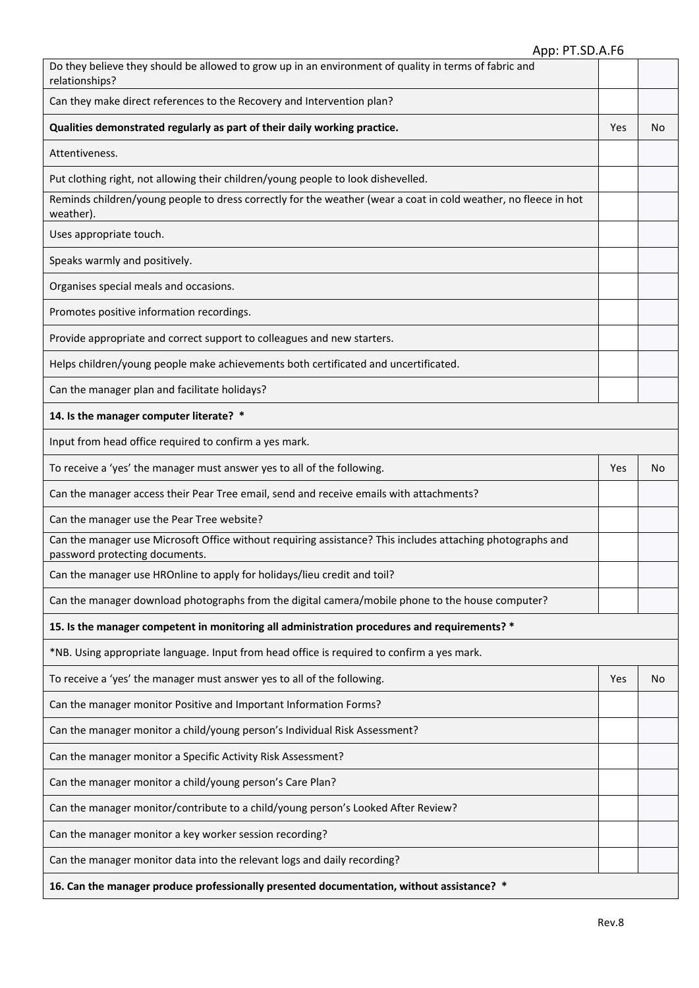| Do they believe they should be allowed to grow up in an environment of quality in terms of fabric and<br>relationships?                      |     |    |
|----------------------------------------------------------------------------------------------------------------------------------------------|-----|----|
| Can they make direct references to the Recovery and Intervention plan?                                                                       |     |    |
| Qualities demonstrated regularly as part of their daily working practice.                                                                    | Yes | No |
| Attentiveness.                                                                                                                               |     |    |
| Put clothing right, not allowing their children/young people to look dishevelled.                                                            |     |    |
| Reminds children/young people to dress correctly for the weather (wear a coat in cold weather, no fleece in hot<br>weather).                 |     |    |
| Uses appropriate touch.                                                                                                                      |     |    |
| Speaks warmly and positively.                                                                                                                |     |    |
| Organises special meals and occasions.                                                                                                       |     |    |
| Promotes positive information recordings.                                                                                                    |     |    |
| Provide appropriate and correct support to colleagues and new starters.                                                                      |     |    |
| Helps children/young people make achievements both certificated and uncertificated.                                                          |     |    |
| Can the manager plan and facilitate holidays?                                                                                                |     |    |
| 14. Is the manager computer literate? *                                                                                                      |     |    |
| Input from head office required to confirm a yes mark.                                                                                       |     |    |
| To receive a 'yes' the manager must answer yes to all of the following.                                                                      | Yes | No |
| Can the manager access their Pear Tree email, send and receive emails with attachments?                                                      |     |    |
| Can the manager use the Pear Tree website?                                                                                                   |     |    |
| Can the manager use Microsoft Office without requiring assistance? This includes attaching photographs and<br>password protecting documents. |     |    |
| Can the manager use HROnline to apply for holidays/lieu credit and toil?                                                                     |     |    |
| Can the manager download photographs from the digital camera/mobile phone to the house computer?                                             |     |    |
| 15. Is the manager competent in monitoring all administration procedures and requirements? *                                                 |     |    |
| *NB. Using appropriate language. Input from head office is required to confirm a yes mark.                                                   |     |    |
| To receive a 'yes' the manager must answer yes to all of the following.                                                                      | Yes | No |
| Can the manager monitor Positive and Important Information Forms?                                                                            |     |    |
| Can the manager monitor a child/young person's Individual Risk Assessment?                                                                   |     |    |
| Can the manager monitor a Specific Activity Risk Assessment?                                                                                 |     |    |
| Can the manager monitor a child/young person's Care Plan?                                                                                    |     |    |
| Can the manager monitor/contribute to a child/young person's Looked After Review?                                                            |     |    |
| Can the manager monitor a key worker session recording?                                                                                      |     |    |
| Can the manager monitor data into the relevant logs and daily recording?                                                                     |     |    |
| 16. Can the manager produce professionally presented documentation, without assistance? *                                                    |     |    |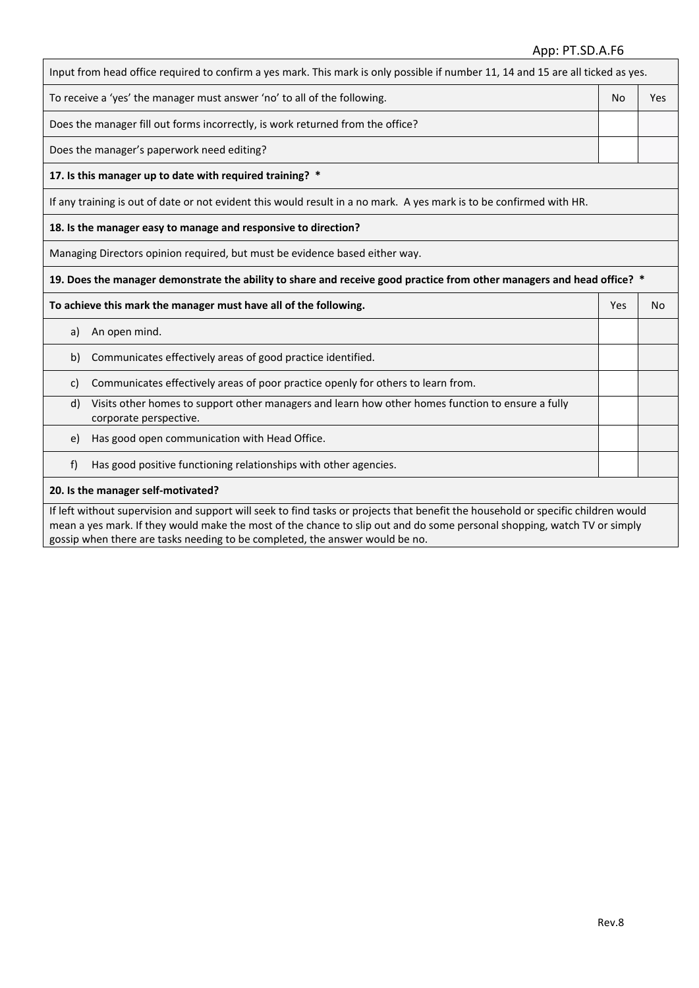### App: PT.SD.A.F6

| Input from head office required to confirm a yes mark. This mark is only possible if number 11, 14 and 15 are all ticked as yes.                                                                                                                              |    |     |  |  |  |
|---------------------------------------------------------------------------------------------------------------------------------------------------------------------------------------------------------------------------------------------------------------|----|-----|--|--|--|
| To receive a 'yes' the manager must answer 'no' to all of the following.                                                                                                                                                                                      | No | Yes |  |  |  |
| Does the manager fill out forms incorrectly, is work returned from the office?                                                                                                                                                                                |    |     |  |  |  |
| Does the manager's paperwork need editing?                                                                                                                                                                                                                    |    |     |  |  |  |
| 17. Is this manager up to date with required training? *                                                                                                                                                                                                      |    |     |  |  |  |
| If any training is out of date or not evident this would result in a no mark. A yes mark is to be confirmed with HR.                                                                                                                                          |    |     |  |  |  |
| 18. Is the manager easy to manage and responsive to direction?                                                                                                                                                                                                |    |     |  |  |  |
| Managing Directors opinion required, but must be evidence based either way.                                                                                                                                                                                   |    |     |  |  |  |
| 19. Does the manager demonstrate the ability to share and receive good practice from other managers and head office? *                                                                                                                                        |    |     |  |  |  |
| To achieve this mark the manager must have all of the following.<br>Yes<br>No                                                                                                                                                                                 |    |     |  |  |  |
| An open mind.<br>a)                                                                                                                                                                                                                                           |    |     |  |  |  |
| Communicates effectively areas of good practice identified.<br>b)                                                                                                                                                                                             |    |     |  |  |  |
| Communicates effectively areas of poor practice openly for others to learn from.<br>C)                                                                                                                                                                        |    |     |  |  |  |
| Visits other homes to support other managers and learn how other homes function to ensure a fully<br>d)<br>corporate perspective.                                                                                                                             |    |     |  |  |  |
| Has good open communication with Head Office.<br>e)                                                                                                                                                                                                           |    |     |  |  |  |
| Has good positive functioning relationships with other agencies.<br>f)                                                                                                                                                                                        |    |     |  |  |  |
| 20. Is the manager self-motivated?                                                                                                                                                                                                                            |    |     |  |  |  |
| If left without supervision and support will seek to find tasks or projects that benefit the household or specific children would<br>mean a yes mark. If they would make the most of the chance to slip out and do some personal shopping, watch TV or simply |    |     |  |  |  |

gossip when there are tasks needing to be completed, the answer would be no.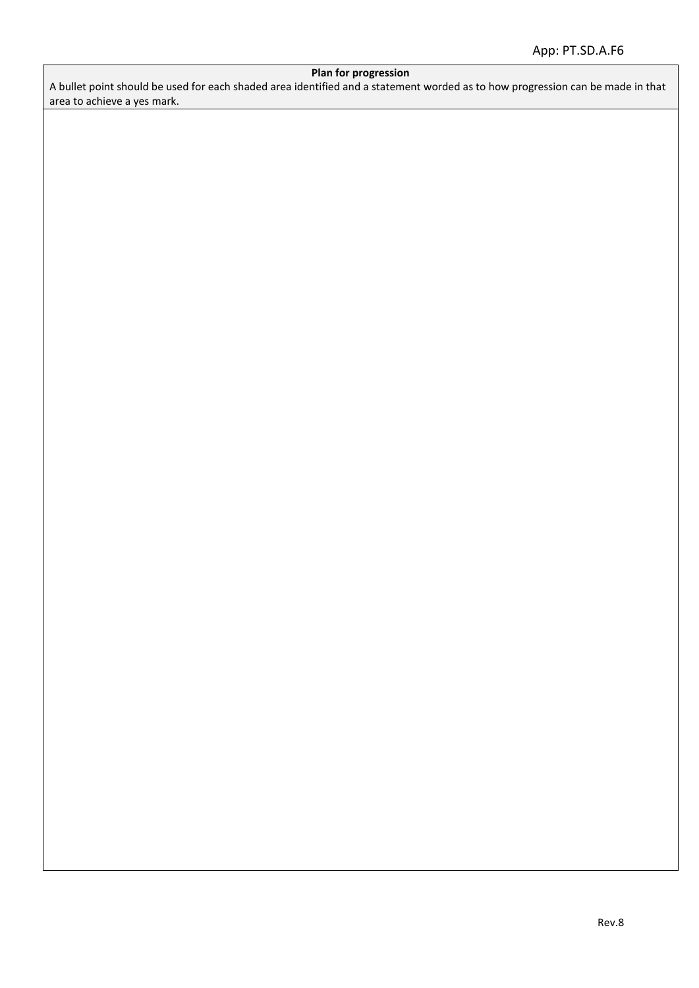### **Plan for progression**

A bullet point should be used for each shaded area identified and a statement worded as to how progression can be made in that area to achieve a yes mark.